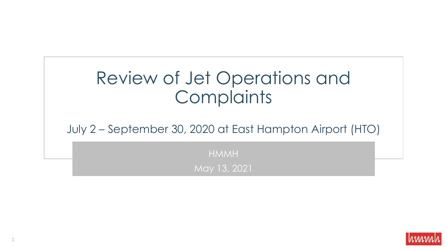# Review of Jet Operations and **Complaints**

July 2 – September 30, 2020 at East Hampton Airport (HTO)

HMMH May 13, 2021

1

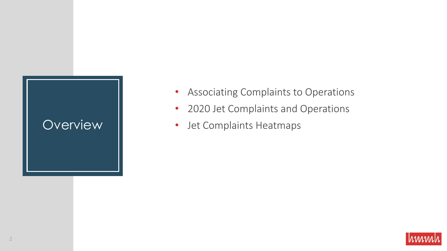- Associating Complaints to Operations
- 2020 Jet Complaints and Operations
- Overview | Jet Complaints Heatmaps

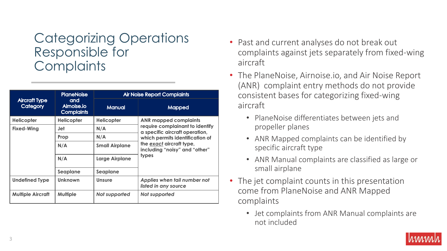### Categorizing Operations Responsible for **Complaints**

| <b>Aircraft Type</b><br><b>Category</b> | <b>PlaneNoise</b><br>and<br>Aimoise.io<br><b>Complaints</b> | <b>Air Noise Report Complaints</b> |                                                                                                                                                                                                            |
|-----------------------------------------|-------------------------------------------------------------|------------------------------------|------------------------------------------------------------------------------------------------------------------------------------------------------------------------------------------------------------|
|                                         |                                                             | <b>Manual</b>                      | <b>Mapped</b>                                                                                                                                                                                              |
| <b>Helicopter</b>                       | <b>Helicopter</b>                                           | <b>Helicopter</b>                  | <b>ANR mapped complaints</b><br>require complainant to identify<br>a specific aircraft operation,<br>which permits identification of<br>the exact aircraft type,<br>including "noisy" and "other"<br>types |
| <b>Fixed-Wing</b>                       | Jet                                                         | N/A                                |                                                                                                                                                                                                            |
|                                         | Prop                                                        | N/A                                |                                                                                                                                                                                                            |
|                                         | N/A                                                         | <b>Small Airplane</b>              |                                                                                                                                                                                                            |
|                                         | N/A                                                         | <b>Large Airplane</b>              |                                                                                                                                                                                                            |
|                                         | Seaplane                                                    | Seaplane                           |                                                                                                                                                                                                            |
| <b>Undefined Type</b>                   | <b>Unknown</b>                                              | <b>Unsure</b>                      | Applies when tail number not<br>listed in any source                                                                                                                                                       |
| <b>Multiple Aircraft</b>                | <b>Multiple</b>                                             | Not supported                      | Not supported                                                                                                                                                                                              |

- Past and current analyses do not break out complaints against jets separately from fixed-wing aircraft
- The PlaneNoise, Airnoise.io, and Air Noise Report (ANR) complaint entry methods do not provide consistent bases for categorizing fixed-wing aircraft
	- PlaneNoise differentiates between jets and propeller planes
	- ANR Mapped complaints can be identified by specific aircraft type
	- ANR Manual complaints are classified as large or small airplane
- The jet complaint counts in this presentation come from PlaneNoise and ANR Mapped complaints
	- Jet complaints from ANR Manual complaints are not included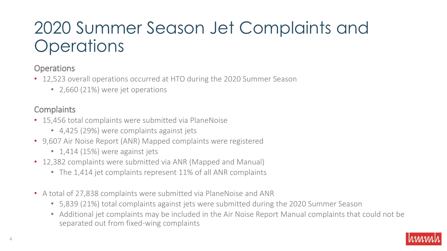# 2020 Summer Season Jet Complaints and **Operations**

#### **Operations**

- 12,523 overall operations occurred at HTO during the 2020 Summer Season
	- 2,660 (21%) were jet operations

### **Complaints**

- 15,456 total complaints were submitted via PlaneNoise
	- 4,425 (29%) were complaints against jets
- 9,607 Air Noise Report (ANR) Mapped complaints were registered
	- 1,414 (15%) were against jets
- 12,382 complaints were submitted via ANR (Mapped and Manual)
	- The 1,414 jet complaints represent 11% of all ANR complaints
- A total of 27,838 complaints were submitted via PlaneNoise and ANR
	- 5,839 (21%) total complaints against jets were submitted during the 2020 Summer Season
	- Additional jet complaints may be included in the Air Noise Report Manual complaints that could not be separated out from fixed-wing complaints

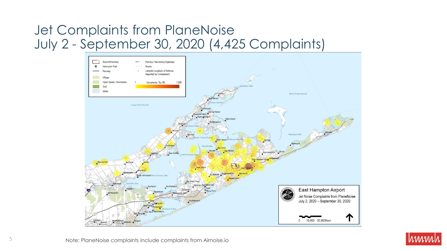# Jet Complaints from PlaneNoise July 2 - September 30, 2020 (4,425 Complaints)